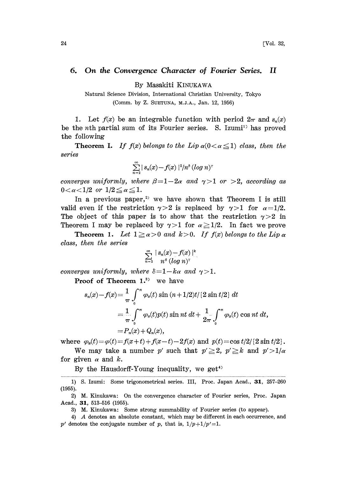## 6. On the Convergence Character of Fourier Series. II

By Masakiti KINUKAWA

Natural Science Division, International Christian University, Tokyo (Comm. by Z. SUETUNA, M.J.A., Jan. 12, 1956)

1. Let  $f(x)$  be an integrable function with period  $2\pi$  and  $s_n(x)$ be the nth partial sum of its Fourier series. S. Izumi<sup>1</sup> has proved the following

**Theorem I.** If  $f(x)$  belongs to the Lip  $\alpha(0<\alpha\leq 1)$  class, then the series

$$
\sum_{n=2}^{\infty} |s_n(x)-f(x)|^2/n^6 (\log n)^r
$$

converges uniformly, where  $\beta = 1-2\alpha$  and  $\gamma >1$  or  $>2$ , according as  $0 < \alpha < 1/2$  or  $1/2 \le \alpha \le 1$ .

In a previous paper,<sup>2)</sup> we have shown that Theorem I is still valid even if the restriction  $\gamma > 2$  is replaced by  $\gamma > 1$  for  $\alpha = 1/2$ . The object of this paper is to show that the restriction  $\gamma > 2$  in Theorem I may be replaced by  $\gamma > 1$  for  $\alpha \geq 1/2$ . In fact we prove

**Theorem 1.** Let  $1 \ge \alpha > 0$  and  $k > 0$ . If  $f(x)$  belongs to the Lip  $\alpha$ class, then the series

$$
\sum_{n=2}^{\infty} \frac{|s_n(x)-f(x)|^k}{n^{\delta} (\log n)^{\gamma}}
$$

converges uniformly, where  $\delta = 1 - k\alpha$  and  $\gamma > 1$ .

**Proof of Theorem 1.**<sup>3</sup> we have

$$
s_n(x) - f(x) = \frac{1}{\pi} \int_0^{\pi} \varphi_x(t) \sin (n + 1/2)t / \{2 \sin t/2\} dt
$$
  
=  $\frac{1}{\pi} \int_0^{\pi} \varphi_x(t) p(t) \sin nt dt + \frac{1}{2\pi} \int_0^{\pi} \varphi_x(t) \cos nt dt$ ,  
=  $P_n(x) + Q_n(x)$ ,

where  $\varphi_x(t) = \varphi(t) = f(x + t) + f(x - t) - 2f(x)$  and  $p(t) = \cos t/2 / (2 \sin t/2)$ .

We may take a number p' such that  $p' \geq 2$ ,  $p' \geq k$  and  $p' > 1/\alpha$ for given  $\alpha$  and  $k$ .

By the Hausdorff-Young inequality, we get<sup>4)</sup>

<sup>1)</sup> S. Izumi: Some trigonometrical series. III, Proc. Japan Acad., 31, 257-260 (1955).

<sup>2)</sup> M. Kinukawa: On the convergence character of Fourier series, Proc. Japan Acad., 31, 513-516 (1955).

<sup>3)</sup> M. Kinukawa: Some strong summability of Fourier series (to appear).

<sup>4)</sup> A denotes an absolute constant, which may be different in each occurrence, and p' denotes the conjugate number of p, that is,  $1/p+1/p' = 1$ .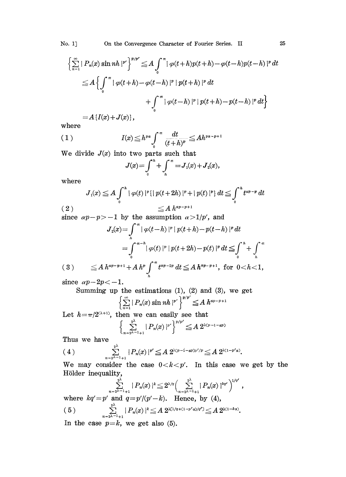No. 1. On the Convergence Character of Fourier Series. II 25

$$
\left\{\sum_{n=1}^{\infty} |P_n(x) \sin nh|^{p'}\right\}^{p/p'} \leq A \int_0^{\pi} |\varphi(t+h)p(t+h) - \varphi(t-h)p(t-h)|^p dt
$$
  

$$
\leq A \left\{\int_0^{\pi} |\varphi(t+h) - \varphi(t-h)|^p |p(t+h)|^p dt + \int_0^{\pi} |\varphi(t-h)|^p |p(t+h) - p(t-h)|^p dt\right\}
$$

$$
=A\left\{ I(x)+J(x)\right\} ,
$$

where

$$
(1) \t I(x) \leq h^{pq} \int_0^{\pi} \frac{dt}{(t+h)^p} \leq Ah^{pq-p+1}
$$

We divide  $J(x)$  into two parts such that

$$
J(x) = \int_0^h + \int_h^{\pi} = J_1(x) + J_2(x),
$$

where

$$
J_1(x) \le A \int_0^h |\varphi(t)|^p \{ |\varphi(t+2h)|^p + |\varphi(t)|^p \} dt \le \int_0^h t^{ap-p} dt
$$
  
(2) 
$$
\le A h^{ap-p+1}
$$

since  $\alpha p - p > -1$  by the assumption  $\alpha > 1/p'$ , and

$$
J_2(x) = \int_h^{\pi} |\varphi(t-h)|^p |p(t+h) - p(t-h)|^p dt
$$
  
= 
$$
\int_0^{\pi - h} |\varphi(t)|^p |p(t+2h) - p(t)|^p dt \leq \int_0^h + \int_h^{\pi}
$$
  
(3) 
$$
\leq A h^{\alpha p - p + 1} + A h^p \int_h^{\pi} t^{\alpha p - 2p} dt \leq A h^{\alpha p - p + 1}, \text{ for } 0 < h < 1,
$$

since  $\alpha p - 2p < -1$ .

Summing up the estimations  $(1)$ ,  $(2)$  and  $(3)$ , we get

$$
\left(\sum_{n=1}^{\infty} |P_n(x) \sin nh|^{p'}\right)^{p/p'} \leq A h^{ap-p+1}
$$

Let  $h = \pi/2^{(\lambda+1)}$ , then we can easily see that

$$
\left\{\sum_{n=2^{\lambda-1}+1}^{2^{\lambda}}\left|P_n(x)\right|^{p'}\right\}^{p/p'}\leq A\ 2^{\lambda(p-1-ap)}
$$

Thus we have

$$
(4) \qquad \qquad \sum_{n=2^{\lambda-1}+1}^{2^{\lambda}} |P_n(x)|^{p'} \leq A \ 2^{\lambda(p-1-\alpha p)p'/p} \leq A \ 2^{\lambda(1-p'\alpha)}.
$$

We may consider the case  $0 < k < p'$ . In this case we get by the Hölder inequality,

$$
\sum_{n=2^{\lambda-1}+1}^{2^{\lambda}} |P_n(x)|^k \leq 2^{\lambda/n} \Big( \sum_{n=2^{\lambda-1}+1}^{2^{\lambda}} |P_n(x)|^{kq'} \Big)^{1/q'},
$$
  
and  $q=n/(n'-k)$ . Hence, by (4).

where  $kq' = p'$  and  $q = p'/(p'-k)$ . Hence, by (4),<br>
(5)  $\sum_{n=1}^{p} |P_n(x)|^k \leq A 2^{\chi(1/q + (1-p'\alpha)/q')} \leq A 2^{\chi(1-k\alpha)}$ .

In the case  $p=k$ , we get also (5).